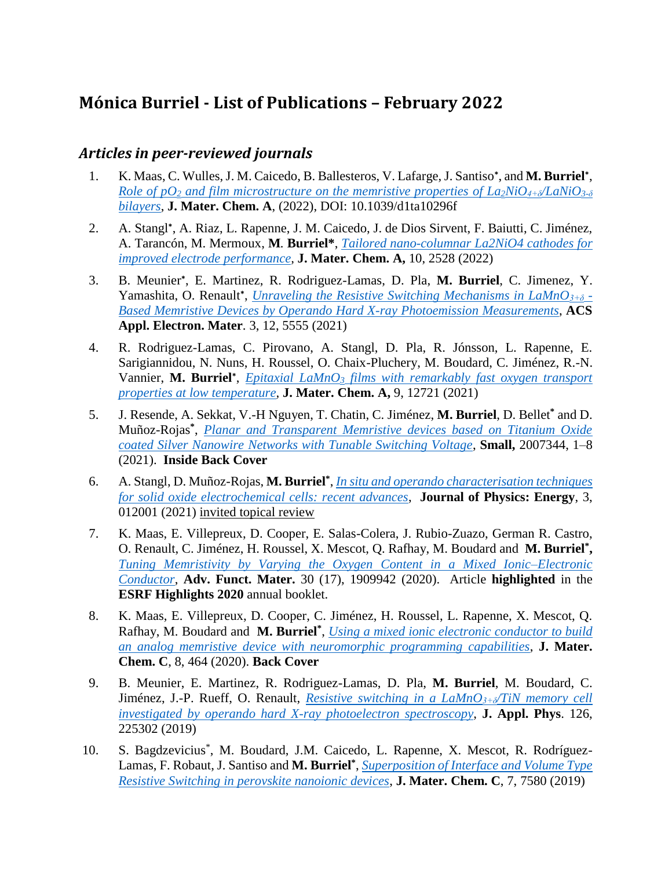# **Mónica Burriel - List of Publications – February 2022**

## *Articles in peer-reviewed journals*

- 1. K. Maas, C. Wulles, J. M. Caicedo, B. Ballesteros, V. Lafarge, J. Santiso**\*** , and **M. Burriel\*** , *Role of pO<sub>2</sub> and film microstructure on the memristive properties of*  $La_2NiO_{4+δ}/LaNiO_{3+δ}$ *[bilayers](https://pubs.rsc.org/en/Content/ArticleLanding/2022/TA/D1TA10296F)*, **J. Mater. Chem. A**, (2022), DOI: 10.1039/d1ta10296f
- 2. A. Stangl**\*** , A. Riaz, L. Rapenne, J. M. Caicedo, J. de Dios Sirvent, F. Baiutti, C. Jiménez, A. Tarancón, M. Mermoux, **M***.* **Burriel\***, *[Tailored nano-columnar La2NiO4 cathodes for](https://pubs.rsc.org/en/content/articlelanding/2022/ta/d1ta09110g)  [improved electrode performance,](https://pubs.rsc.org/en/content/articlelanding/2022/ta/d1ta09110g)* **J. Mater. Chem. A,** 10, 2528 (2022)
- 3. B. Meunier**\*** , E. Martinez, R. Rodriguez-Lamas, D. Pla, **M. Burriel**, C. Jimenez, Y. Yamashita, O. Renault**\*** , *[Unraveling the Resistive Switching Mechanisms in LaMnO](https://pubs.acs.org/doi/10.1021/acsaelm.1c00968)3+δ - [Based Memristive Devices by Operando Hard X-ray Photoemission Measurements](https://pubs.acs.org/doi/10.1021/acsaelm.1c00968)*, **ACS Appl. Electron. Mater**. 3, 12, 5555 (2021)
- 4. R. Rodriguez-Lamas, C. Pirovano, A. Stangl, D. Pla, R. Jónsson, L. Rapenne, E. Sarigiannidou, N. Nuns, H. Roussel, O. Chaix-Pluchery, M. Boudard, C. Jiménez, R.-N. Vannier, **M. Burriel\*** , *Epitaxial LaMnO<sup>3</sup> [films with remarkably fast oxygen transport](https://pubs.rsc.org/en/content/articlelanding/2021/ta/d0ta12253j)  [properties at low temperature,](https://pubs.rsc.org/en/content/articlelanding/2021/ta/d0ta12253j)* **J. Mater. Chem. A,** 9, 12721 (2021)
- 5. J. Resende, A. Sekkat, V.-H Nguyen, T. Chatin, C. Jiménez, **M. Burriel**, D. Bellet**\*** and D. Muñoz-Rojas**\*** , *[Planar and Transparent Memristive devices based on Titanium Oxide](https://onlinelibrary.wiley.com/doi/abs/10.1002/smll.202007344)  [coated Silver Nanowire Networks with Tunable Switching Voltage](https://onlinelibrary.wiley.com/doi/abs/10.1002/smll.202007344)*, **Small,** 2007344, 1–8 (2021). **Inside Back Cover**
- 6. A. Stangl, D. Muñoz-Rojas, **M. Burriel\*** , *[In situ and operando characterisation techniques](https://iopscience.iop.org/article/10.1088/2515-7655/abc1f5)  [for solid oxide electrochemical cells: recent advances](https://iopscience.iop.org/article/10.1088/2515-7655/abc1f5)*, **Journal of Physics: Energy**, 3, 012001 (2021) invited topical review
- 7. K. Maas, E. Villepreux, D. Cooper, E. Salas-Colera, J. Rubio-Zuazo, German R. Castro, O. Renault, C. Jiménez, H. Roussel, X. Mescot, Q. Rafhay, M. Boudard and **M. Burriel\* ,** *[Tuning Memristivity by Varying the Oxygen Content in a Mixed Ionic–Electronic](https://onlinelibrary.wiley.com/doi/abs/10.1002/adfm.201909942)  [Conductor](https://onlinelibrary.wiley.com/doi/abs/10.1002/adfm.201909942)*, **Adv. Funct. Mater.** 30 (17), 1909942 (2020). Article **highlighted** in the **ESRF Highlights 2020** annual booklet.
- 8. K. Maas, E. Villepreux, D. Cooper, C. Jiménez, H. Roussel, L. Rapenne, X. Mescot, Q. Rafhay, M. Boudard and **M. Burriel\*** , *[Using a mixed ionic electronic conductor to build](https://pubs.rsc.org/en/content/articlelanding/2020/tc/c9tc03972d)  [an analog memristive device with neuromorphic programming capabilities](https://pubs.rsc.org/en/content/articlelanding/2020/tc/c9tc03972d)*, **J. Mater. Chem. C**, 8, 464 (2020). **Back Cover**
- 9. B. Meunier, E. Martinez, R. Rodriguez-Lamas, D. Pla, **M. Burriel**, M. Boudard, C. Jiménez, J.-P. Rueff, O. Renault, *[Resistive switching in a LaMnO](https://aip.scitation.org/doi/10.1063/1.5125420)3+δ/TiN memory cell [investigated by operando hard X-ray photoelectron spectroscopy](https://aip.scitation.org/doi/10.1063/1.5125420)*, **J. Appl. Phys**. 126, 225302 (2019)
- 10. S. Bagdzevicius\* , M. Boudard, J.M. Caicedo, L. Rapenne, X. Mescot, R. Rodríguez-Lamas, F. Robaut, J. Santiso and **M. Burriel\*** , *[Superposition of Interface and Volume Type](https://pubs.rsc.org/en/content/articlelanding/2019/tc/c9tc00609e)  [Resistive Switching in perovskite nanoionic devices](https://pubs.rsc.org/en/content/articlelanding/2019/tc/c9tc00609e)*, **J. Mater. Chem. C**, 7, 7580 (2019)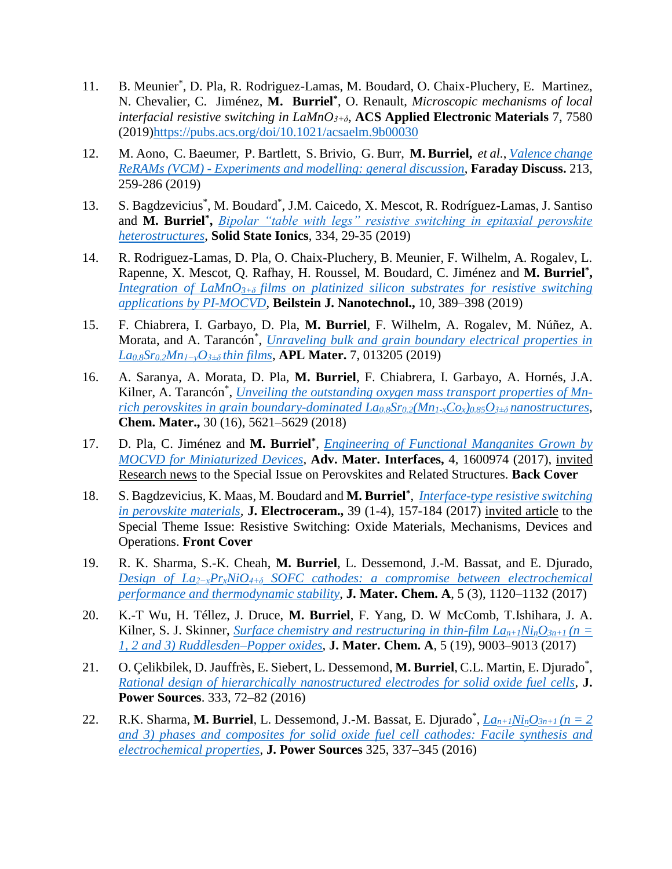- 11. B. Meunier\* , D. Pla, R. Rodriguez-Lamas, M. Boudard, O. Chaix-Pluchery, E. Martinez, N. Chevalier, C. Jiménez, **M. Burriel\*** , O. Renault, *Microscopic mechanisms of local interfacial resistive switching in LaMnO3+δ*, **ACS Applied Electronic Materials** 7, 7580 (2019[\)https://pubs.acs.org/doi/10.1021/acsaelm.9b00030](https://pubs.acs.org/doi/10.1021/acsaelm.9b00030)
- 12. M. Aono, C. Baeumer, P. Bartlett, S. Brivio, G. Burr, **M. Burriel,** *et al.*, *[Valence change](https://pubs.rsc.org/en/content/articlelanding/2019/fd/c8fd90057d)  ReRAMs (VCM) - [Experiments and modelling: general discussion](https://pubs.rsc.org/en/content/articlelanding/2019/fd/c8fd90057d)*, **Faraday Discuss.** 213, 259-286 (2019)
- 13. S. Bagdzevicius<sup>\*</sup>, M. Boudard<sup>\*</sup>, J.M. Caicedo, X. Mescot, R. Rodríguez-Lamas, J. Santiso and **M. Burriel\* ,** *[Bipolar "table with legs" resistive switching in epitaxial perovskite](https://www.sciencedirect.com/science/article/abs/pii/S0167273818306519)  [heterostructures](https://www.sciencedirect.com/science/article/abs/pii/S0167273818306519)*, **Solid State Ionics**, 334, 29-35 (2019)
- 14. R. Rodriguez-Lamas, D. Pla, O. Chaix-Pluchery, B. Meunier, F. Wilhelm, A. Rogalev, L. Rapenne, X. Mescot, Q. Rafhay, H. Roussel, M. Boudard, C. Jiménez and **M. Burriel\* ,** *Integration of LaMnO3+δ [films on platinized silicon substrates for resistive switching](https://www.beilstein-journals.org/bjnano/articles/10/38)  [applications by PI-MOCVD](https://www.beilstein-journals.org/bjnano/articles/10/38)*, **Beilstein J. Nanotechnol.,** 10, 389–398 (2019)
- 15. F. Chiabrera, I. Garbayo, D. Pla, **M. Burriel**, F. Wilhelm, A. Rogalev, M. Núñez, A. Morata, and A. Tarancón\* , *Unraveling [bulk and grain boundary electrical properties in](https://aip.scitation.org/doi/10.1063/1.5054576)  La0.8Sr0.2Mn1−yO3±δ [thin films](https://aip.scitation.org/doi/10.1063/1.5054576)*, **APL Mater.** 7, 013205 (2019)
- 16. A. Saranya, A. Morata, D. Pla, **M. Burriel**, F. Chiabrera, I. Garbayo, A. Hornés, J.A. Kilner, A. Tarancón<sup>\*</sup>, *[Unveiling the outstanding oxygen mass transport properties of Mn](https://pubs.acs.org/doi/abs/10.1021/acs.chemmater.8b01771)[rich perovskites in grain boundary-dominated La](https://pubs.acs.org/doi/abs/10.1021/acs.chemmater.8b01771)0.8Sr0.2(Mn1-xCox)0.85O3±δ nanostructures*, **Chem. Mater.,** 30 (16), 5621–5629 (2018)
- 17. D. Pla, C. Jiménez and **M. Burriel\*** , *[Engineering of Functional Manganites Grown by](https://onlinelibrary.wiley.com/doi/10.1002/admi.201600974)  [MOCVD for Miniaturized Devices,](https://onlinelibrary.wiley.com/doi/10.1002/admi.201600974)* **Adv. Mater. Interfaces,** 4, 1600974 (2017), invited Research news to the Special Issue on Perovskites and Related Structures. **Back Cover**
- 18. S. Bagdzevicius, K. Maas, M. Boudard and **M. Burriel\*** , *[Interface-type resistive switching](https://link.springer.com/article/10.1007/s10832-017-0087-9)  [in perovskite materials,](https://link.springer.com/article/10.1007/s10832-017-0087-9)* **J. Electroceram.,** 39 (1-4), 157-184 (2017) invited article to the Special Theme Issue: Resistive Switching: Oxide Materials, Mechanisms, Devices and Operations. **Front Cover**
- 19. R. K. Sharma, S.-K. Cheah, **M. Burriel**, L. Dessemond, J.-M. Bassat, and E. Djurado, *Design of La2−xPrxNiO4+δ [SOFC cathodes: a compromise between electrochemical](https://pubs.rsc.org/en/content/articlelanding/2017/ta/c6ta08011a)  [performance and thermodynamic stability](https://pubs.rsc.org/en/content/articlelanding/2017/ta/c6ta08011a)*, **J. Mater. Chem. A**, 5 (3), 1120–1132 (2017)
- 20. K.-T Wu, H. Téllez, J. Druce, **M. Burriel**, F. Yang, D. W McComb, T.Ishihara, J. A. Kilner, S. J. Skinner, *Surface chemistry and restructuring in thin-film*  $La_{n+1}Ni_nO_{3n+1}$  *(n = [1, 2 and 3\) Ruddlesden–Popper oxides](https://pubs.rsc.org/en/content/articlelanding/2017/ta/c7ta01781b)*, **J. Mater. Chem. A**, 5 (19), 9003–9013 (2017)
- 21. O. Çelikbilek, D. Jauffrès, E. Siebert, L. Dessemond, M. Burriel, C.L. Martin, E. Djurado\*, *[Rational design of hierarchically nanostructured electrodes for solid oxide fuel cells](https://www.sciencedirect.com/science/article/abs/pii/S0378775316313556)*, **J. Power Sources**. 333, 72–82 (2016)
- 22. R.K. Sharma, **M. Burriel**, L. Dessemond, J.-M. Bassat, E. Djurado\* , *Lan+1NinO3n+1 [\(n = 2](https://www.sciencedirect.com/science/article/abs/pii/S0378775316307492)  [and 3\) phases and composites for solid oxide fuel cell cathodes: Facile synthesis and](https://www.sciencedirect.com/science/article/abs/pii/S0378775316307492)  [electrochemical properties](https://www.sciencedirect.com/science/article/abs/pii/S0378775316307492)*, **J. Power Sources** 325, 337–345 (2016)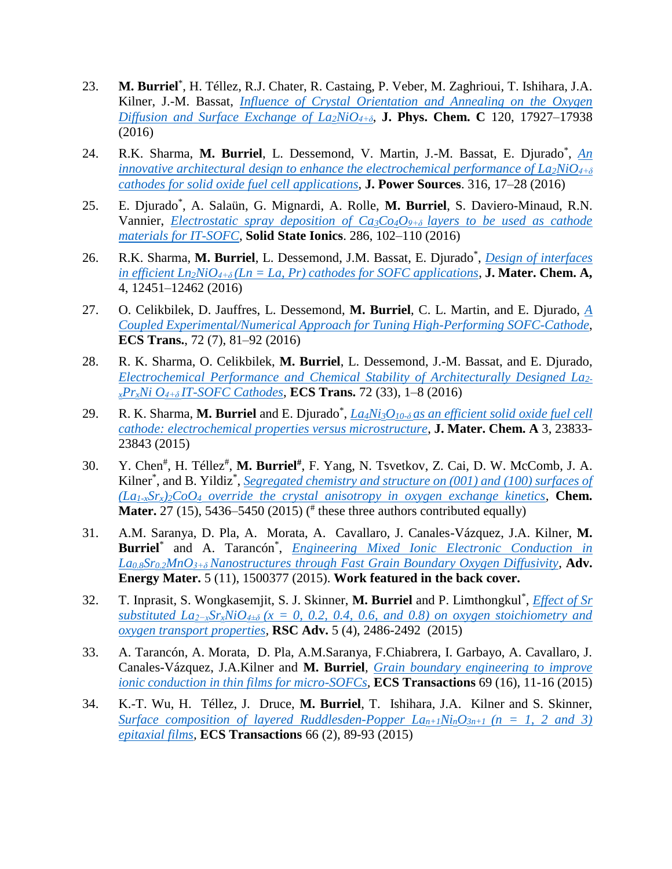- 23. M. Burriel<sup>\*</sup>, H. Téllez, R.J. Chater, R. Castaing, P. Veber, M. Zaghrioui, T. Ishihara, J.A. Kilner, J.-M. Bassat, *[Influence of Crystal Orientation](https://pubs.acs.org/doi/abs/10.1021/acs.jpcc.6b05666) and Annealing on the Oxygen [Diffusion and Surface Exchange of La](https://pubs.acs.org/doi/abs/10.1021/acs.jpcc.6b05666)2NiO4+δ*, **J. Phys. Chem. C** 120, 17927–17938 (2016)
- 24. R.K. Sharma, M. Burriel, L. Dessemond, V. Martin, J.-M. Bassat, E. Djurado\*, An *[innovative architectural design to enhance the electrochemical performance of La](https://www.sciencedirect.com/science/article/abs/pii/S0378775316302816?via%3Dihub)2NiO4+δ [cathodes for solid oxide fuel cell applications](https://www.sciencedirect.com/science/article/abs/pii/S0378775316302816?via%3Dihub)*, **J. Power Sources**. 316, 17–28 (2016)
- 25. E. Djurado\* , A. Salaün, G. Mignardi, A. Rolle, **M. Burriel**, S. Daviero-Minaud, R.N. Vannier, *[Electrostatic spray deposition of Ca](https://www.sciencedirect.com/science/article/abs/pii/S0167273815300217)3Co4O9+δ layers to be used as cathode [materials for IT-SOFC](https://www.sciencedirect.com/science/article/abs/pii/S0167273815300217)*, **Solid State Ionics**. 286, 102–110 (2016)
- 26. R.K. Sharma, **M. Burriel**, L. Dessemond, J.M. Bassat, E. Djurado\* , *[Design of interfaces](https://pubs.rsc.org/en/content/articlelanding/2016/ta/c6ta04845e)  in efficient Ln*<sub>2</sub>*NiO*<sub>4+ $\delta$ </sub>(*Ln* = *La, Pr*) *cathodes for SOFC applications*, **J. Mater. Chem. A,** 4, 12451–12462 (2016)
- 27. O. Celikbilek, D. Jauffres, L. Dessemond, **M. Burriel**, C. L. Martin, and E. Djurado, *[A](https://iopscience.iop.org/article/10.1149/07207.0081ecst/meta)  [Coupled Experimental/Numerical Approach for Tuning High-Performing SOFC-Cathode](https://iopscience.iop.org/article/10.1149/07207.0081ecst/meta)*, **ECS Trans.**, 72 (7), 81–92 (2016)
- 28. R. K. Sharma, O. Celikbilek, **M. Burriel**, L. Dessemond, J.-M. Bassat, and E. Djurado, *Electrochemical [Performance and Chemical Stability of Architecturally Designed La](https://iopscience.iop.org/article/10.1149/07233.0001ecst)2 <sup>x</sup>PrxNi O4+δ [IT-SOFC Cathodes](https://iopscience.iop.org/article/10.1149/07233.0001ecst)*, **ECS Trans.** 72 (33), 1–8 (2016)
- 29. R. K. Sharma, **M. Burriel** and E. Djurado\* , *La4Ni3O10-δ [as an efficient solid oxide fuel cell](http://pubs.rsc.org/en/Content/ArticleLanding/2015/TA/C5TA07862H)  [cathode: electrochemical properties versus microstructure](http://pubs.rsc.org/en/Content/ArticleLanding/2015/TA/C5TA07862H)*, **J. Mater. Chem. A** 3, 23833- 23843 (2015)
- 30. Y. Chen# , H. Téllez# , **M. Burriel#** , F. Yang, N. Tsvetkov, Z. Cai, D. W. McComb, J. A. Kilner<sup>\*</sup>, and B. Yildiz<sup>\*</sup>, *Segregated chemistry and structure on (001) and (100) surfaces of*  $(La_{1-x}Sr_x)_{2}CoO_4$  *override the crystal anisotropy in oxygen exchange kinetics*, **Chem. Mater.** 27 (15), 5436–5450 (2015) ( $*$  these three authors contributed equally)
- 31. A.M. Saranya, D. Pla, A. Morata, A. Cavallaro, J. Canales-Vázquez, J.A. Kilner, **M. Burriel**\* and A. Tarancón\* , *[Engineering Mixed Ionic Electronic Conduction in](http://onlinelibrary.wiley.com/doi/10.1002/aenm.201500377/abstract)  La0.8Sr0.2MnO3+δ [Nanostructures through Fast Grain Boundary Oxygen Diffusivity](http://onlinelibrary.wiley.com/doi/10.1002/aenm.201500377/abstract)*, **Adv. Energy Mater.** 5 (11), 1500377 (2015). **Work featured in the back cover.**
- 32. T. Inprasit, S. Wongkasemjit, S. J. Skinner, **M. Burriel** and P. Limthongkul\* , *[Effect of Sr](http://pubs.rsc.org/en/content/articlelanding/2014/ra/c4ra11672k)  substituted La2−xSrxNiO4±δ [\(x = 0, 0.2, 0.4, 0.6, and 0.8\) on oxygen stoichiometry and](http://pubs.rsc.org/en/content/articlelanding/2014/ra/c4ra11672k)  [oxygen transport properties,](http://pubs.rsc.org/en/content/articlelanding/2014/ra/c4ra11672k)* **RSC Adv.** 5 (4), 2486-2492 (2015)
- 33. A. Tarancón, A. Morata, D. Pla, A.M.Saranya, F.Chiabrera, I. Garbayo, A. Cavallaro, J. Canales-Vázquez, J.A.Kilner and **M. Burriel***, [Grain boundary engineering to improve](http://ecst.ecsdl.org/content/69/16/11.abstract)  [ionic conduction in thin films for micro-SOFCs,](http://ecst.ecsdl.org/content/69/16/11.abstract)* **ECS Transactions** 69 (16), 11-16 (2015)
- 34. K.-T. Wu, H. Téllez, J. Druce, **M. Burriel**, T. Ishihara, J.A. Kilner and S. Skinner, *Surface composition of layered Ruddlesden-Popper*  $La_{n+1}Ni_nO_{3n+1}$  *(* $n = 1, 2$  *and 3) [epitaxial films,](http://ecst.ecsdl.org/content/66/2/89.abstract)* **ECS Transactions** 66 (2), 89-93 (2015)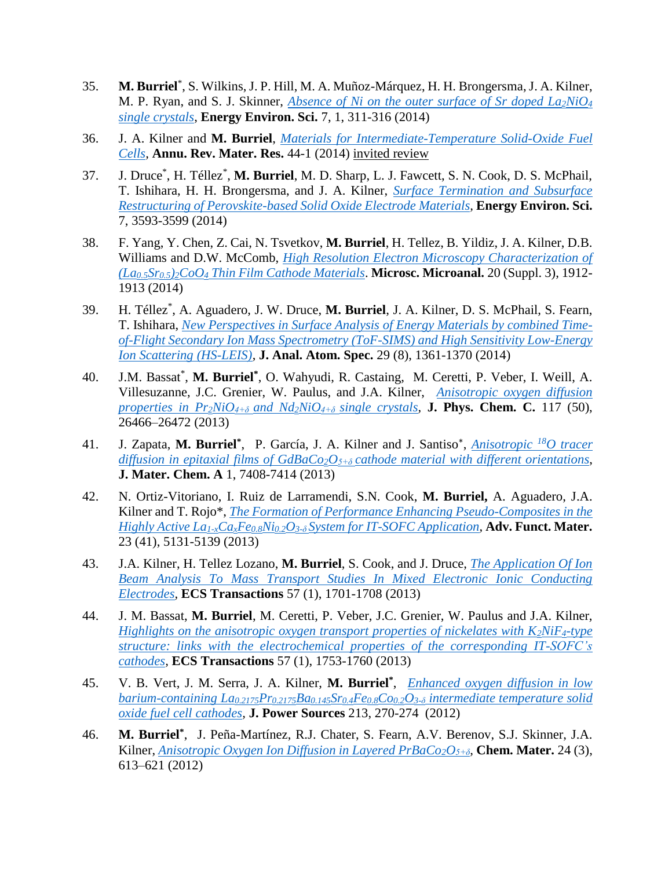- 35. **M. Burriel**\* , S. Wilkins, J. P. Hill, M. A. Muñoz-Márquez, H. H. Brongersma, J. A. Kilner, M. P. Ryan, and S. J. Skinner, *[Absence of Ni on the outer surface of Sr doped La](http://pubs.rsc.org/En/content/articlelanding/2014/ee/c3ee41622d)2NiO<sup>4</sup> [single crystals](http://pubs.rsc.org/En/content/articlelanding/2014/ee/c3ee41622d)*, **Energy Environ. Sci.** 7, 1, 311-316 (2014)
- 36. J. A. Kilner and **M. Burriel**, *[Materials for Intermediate-Temperature Solid-Oxide Fuel](http://www.annualreviews.org/doi/abs/10.1146/annurev-matsci-070813-113426)  [Cells,](http://www.annualreviews.org/doi/abs/10.1146/annurev-matsci-070813-113426)* **Annu. Rev. Mater. Res.** 44-1 (2014) invited review
- 37. J. Druce\* , H. Téllez\* , **M. Burriel**, M. D. Sharp, L. J. Fawcett, S. N. Cook, D. S. McPhail, T. Ishihara, H. H. Brongersma, and J. A. Kilner, *[Surface Termination and Subsurface](http://pubs.rsc.org/en/Content/ArticleLanding/2014/EE/c4ee01497a)  [Restructuring of Perovskite-based Solid Oxide Electrode Materials,](http://pubs.rsc.org/en/Content/ArticleLanding/2014/EE/c4ee01497a)* **Energy Environ. Sci.** 7, 3593-3599 (2014)
- 38. F. Yang, Y. Chen, Z. Cai, N. Tsvetkov, **M. Burriel**, H. Tellez, B. Yildiz, J. A. Kilner, D.B. Williams and D.W. McComb, *[High Resolution Electron Microscopy Characterization of](http://journals.cambridge.org/article_S1431927614011295)  (La0.5Sr0.5)2CoO<sup>4</sup> [Thin Film Cathode Materials](http://journals.cambridge.org/article_S1431927614011295)*. **Microsc. Microanal.** 20 (Suppl. 3), 1912- 1913 (2014)
- 39. H. Téllez\* , A. Aguadero, J. W. Druce, **M. Burriel**, J. A. Kilner, D. S. McPhail, S. Fearn, T. Ishihara, *[New Perspectives in Surface Analysis of Energy Materials by combined Time](http://pubs.rsc.org/en/content/articlelanding/2014/ja/c3ja50292a)[of-Flight Secondary Ion Mass Spectrometry \(ToF-SIMS\) and High Sensitivity Low-Energy](http://pubs.rsc.org/en/content/articlelanding/2014/ja/c3ja50292a)  [Ion Scattering \(HS-LEIS\)](http://pubs.rsc.org/en/content/articlelanding/2014/ja/c3ja50292a)*, **J. Anal. Atom. Spec.** 29 (8), 1361-1370 (2014)
- 40. J.M. Bassat\* , **M. Burriel\*** , O. Wahyudi, R. Castaing, M. Ceretti, P. Veber, I. Weill, A. Villesuzanne, J.C. Grenier, W. Paulus, and J.A. Kilner, *[Anisotropic oxygen diffusion](http://pubs.acs.org/doi/abs/10.1021/jp409057k)  [properties in Pr](http://pubs.acs.org/doi/abs/10.1021/jp409057k)2NiO4+δ and Nd2NiO4+δ single crystals,* **J. Phys. Chem. C.** 117 (50), 26466–26472 (2013)
- 41. J. Zapata, **M. Burriel\*** , P. García, J. A. Kilner and J. Santiso\* , *[Anisotropic](http://pubs.rsc.org/en/content/articlelanding/2013/TA/c3ta10749c) <sup>18</sup>O tracer diffusion in epitaxial films of GdBaCo2O5+δ [cathode material with different orientations](http://pubs.rsc.org/en/content/articlelanding/2013/TA/c3ta10749c)*, **J. Mater. Chem. A** 1, 7408-7414 (2013)
- 42. N. Ortiz-Vitoriano, I. Ruiz de Larramendi, S.N. Cook, **M. Burriel,** A. Aguadero, J.A. Kilner and T. Rojo\*, *[The Formation of Performance Enhancing Pseudo-Composites in the](http://onlinelibrary.wiley.com/doi/10.1002/adfm.201300481/abstract)  Highly Active La1-xCaxFe0.8Ni0.2O3-δ [System for IT-SOFC Application](http://onlinelibrary.wiley.com/doi/10.1002/adfm.201300481/abstract)*, **Adv. Funct. Mater.** 23 (41), 5131-5139 (2013)
- 43. J.A. Kilner, H. Tellez Lozano, **M. Burriel**, S. Cook, and J. Druce, *[The Application Of Ion](http://ecst.ecsdl.org/content/57/1/1701.abstract)  [Beam Analysis To Mass Transport Studies In Mixed Electronic Ionic Conducting](http://ecst.ecsdl.org/content/57/1/1701.abstract)  [Electrodes,](http://ecst.ecsdl.org/content/57/1/1701.abstract)* **ECS Transactions** 57 (1), 1701-1708 (2013)
- 44. J. M. Bassat, **M. Burriel**, M. Ceretti, P. Veber, J.C. Grenier, W. Paulus and J.A. Kilner, *[Highlights on the anisotropic oxygen transport properties of nickelates with K](http://ecst.ecsdl.org/content/57/1/1753.abstract)2NiF4-type [structure: links with the electrochemical properties of the corresponding IT-SOFC's](http://ecst.ecsdl.org/content/57/1/1753.abstract)  [cathodes,](http://ecst.ecsdl.org/content/57/1/1753.abstract)* **ECS Transactions** 57 (1), 1753-1760 (2013)
- 45. V. B. Vert, J. M. Serra, J. A. Kilner, **M. Burriel\*** , *[Enhanced oxygen diffusion in low](http://www.sciencedirect.com/science/article/pii/S0378775312007732)  barium-containing La0.2175Pr0.2175Ba0.145Sr0.4Fe0.8Co0.2O3-δ [intermediate temperature solid](http://www.sciencedirect.com/science/article/pii/S0378775312007732)  oxide fuel [cell cathodes,](http://www.sciencedirect.com/science/article/pii/S0378775312007732)* **J. Power Sources** 213, 270-274(2012)
- 46. **M. Burriel\*** , J. Peña-Martínez, R.J. Chater, S. Fearn, A.V. Berenov, S.J. Skinner, J.A. Kilner, *[Anisotropic Oxygen Ion Diffusion in Layered PrBaCo](http://pubs.acs.org/doi/abs/10.1021/cm203502s)2O5+δ,* **Chem. Mater.** 24 (3), 613–621 (2012)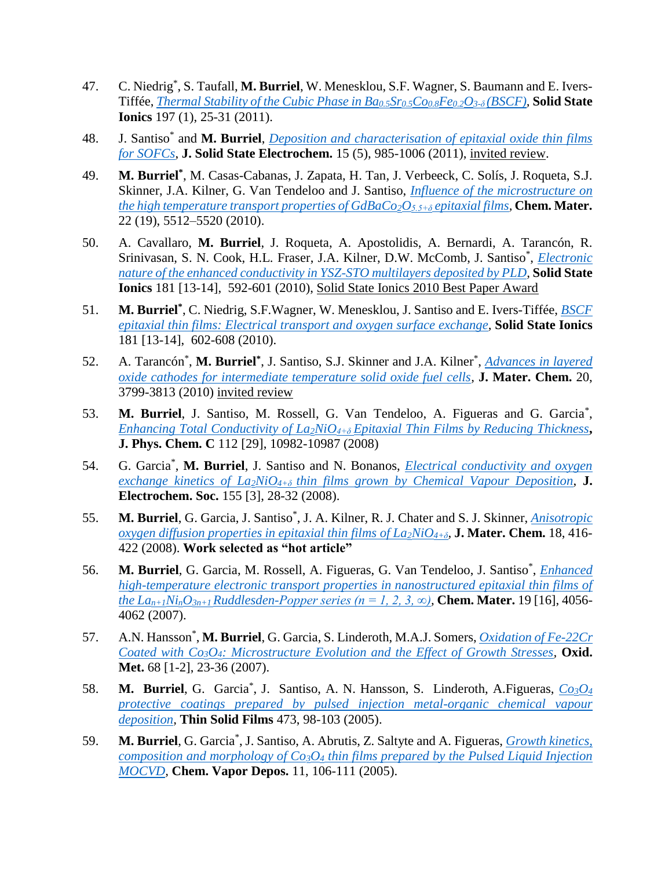- 47. C. Niedrig\* , S. Taufall, **M. Burriel**, W. Menesklou, S.F. Wagner, S. Baumann and E. Ivers-Tiffée, *[Thermal Stability of the Cubic Phase in Ba](http://www.sciencedirect.com/science/article/pii/S0167273811003341)0.5Sr0.5Co0.8Fe0.2O3-δ (BSCF),* **Solid State Ionics** 197 (1), 25-31 (2011).
- 48. J. Santiso\* and **M. Burriel**, *[Deposition and characterisation of epitaxial oxide thin films](http://link.springer.com/article/10.1007%2Fs10008-010-1214-6)  [for SOFCs](http://link.springer.com/article/10.1007%2Fs10008-010-1214-6)*, **J. Solid State Electrochem.** 15 (5), 985-1006 (2011), invited review.
- 49. **M. Burriel\*** , M. Casas-Cabanas, J. Zapata, H. Tan, J. Verbeeck, C. Solís, J. Roqueta, S.J. Skinner, J.A. Kilner, G. Van Tendeloo and J. Santiso, *[Influence of the microstructure on](http://pubs.acs.org/doi/abs/10.1021/cm101423z)  [the high temperature transport properties of GdBaCo](http://pubs.acs.org/doi/abs/10.1021/cm101423z)2O5.5+δ epitaxial films,* **Chem. Mater.** 22 (19), 5512–5520 (2010).
- 50. A. Cavallaro, **M. Burriel**, J. Roqueta, A. Apostolidis, A. Bernardi, A. Tarancón, R. Srinivasan, S. N. Cook, H.L. Fraser, J.A. Kilner, D.W. McComb, J. Santiso<sup>\*</sup>, *Electronic [nature of the enhanced conductivity in YSZ-STO multilayers deposited by PLD,](http://www.sciencedirect.com/science/article/pii/S0167273810001323)* **Solid State Ionics** 181 [13-14], 592-601 (2010), Solid State Ionics 2010 Best Paper Award
- 51. **M. Burriel\*** , C. Niedrig, S.F.Wagner, W. Menesklou, J. Santiso and E. Ivers-Tiffée, *[BSCF](http://www.sciencedirect.com/science/article/pii/S0167273810001232)  [epitaxial thin films: Electrical transport and oxygen surface exchange,](http://www.sciencedirect.com/science/article/pii/S0167273810001232)* **Solid State Ionics** 181 [13-14], 602-608 (2010).
- 52. A. Tarancón\* , **M. Burriel\*** , J. Santiso, S.J. Skinner and J.A. Kilner\* , *[Advances in layered](http://pubs.rsc.org/en/Content/ArticleLanding/2010/JM/b922430k)  [oxide cathodes for intermediate temperature solid oxide fuel cells,](http://pubs.rsc.org/en/Content/ArticleLanding/2010/JM/b922430k)* **J. Mater. Chem.** 20, 3799-3813 (2010) invited review
- 53. M. Burriel, J. Santiso, M. Rossell, G. Van Tendeloo, A. Figueras and G. Garcia<sup>\*</sup>, *Enhancing Total Conductivity of La2NiO4+δ [Epitaxial Thin Films by Reducing Thickness](http://pubs.acs.org/doi/abs/10.1021/jp7101622)***, J. Phys. Chem. C** 112 [29], 10982-10987 (2008)
- 54. G. Garcia\* , **M. Burriel**, J. Santiso and N. Bonanos, *[Electrical conductivity and oxygen](http://jes.ecsdl.org/content/155/3/P28.abstract)  exchange kinetics of La2NiO4+δ [thin films grown by Chemical Vapour Deposition](http://jes.ecsdl.org/content/155/3/P28.abstract)*, **J. Electrochem. Soc.** 155 [3], 28-32 (2008).
- 55. **M. Burriel**, G. Garcia, J. Santiso\*, J. A. Kilner, R. J. Chater and S. J. Skinner, *Anisotropic [oxygen diffusion properties in epitaxial thin films of La](http://pubs.rsc.org/en/Content/ArticleLanding/2008/JM/b711341b)2NiO4+δ,* **J. Mater. Chem.** 18, 416- 422 (2008). **Work selected as "hot article"**
- 56. **M. Burriel**, G. Garcia, M. Rossell, A. Figueras, G. Van Tendeloo, J. Santiso\* , *[Enhanced](http://pubs.acs.org/doi/abs/10.1021/cm070804e)  [high-temperature electronic transport properties in nanostructured epitaxial thin films of](http://pubs.acs.org/doi/abs/10.1021/cm070804e)  the La*<sub>n+1</sub> $Ni_nO_{3n+1}$ *Ruddlesden-Popper series (n = 1, 2, 3, ∞)*, **Chem. Mater.** 19 [16], 4056-4062 (2007).
- 57. A.N. Hansson\* , **M. Burriel**, G. Garcia, S. Linderoth, M.A.J. Somers, *[Oxidation of Fe-22Cr](http://link.springer.com/article/10.1007%2Fs11085-007-9060-3)  Coated with Co3O4[: Microstructure Evolution and the Effect of Growth Stresses,](http://link.springer.com/article/10.1007%2Fs11085-007-9060-3)* **Oxid. Met.** 68 [1-2], 23-36 (2007).
- 58. **M. Burriel**, G. Garcia\* , J. Santiso, A. N. Hansson, S. Linderoth, A.Figueras, *[Co](http://www.sciencedirect.com/science/article/pii/S0040609004011782)3O<sup>4</sup> [protective coatings prepared by pulsed injection metal-organic chemical vapour](http://www.sciencedirect.com/science/article/pii/S0040609004011782)  [deposition,](http://www.sciencedirect.com/science/article/pii/S0040609004011782)* **Thin Solid Films** 473, 98-103 (2005).
- 59. **M. Burriel**, G. Garcia\* , J. Santiso, A. Abrutis, Z. Saltyte and A. Figueras, *[Growth kinetics,](http://onlinelibrary.wiley.com/doi/10.1002/cvde.200406320/abstract)  composition and morphology of Co3O<sup>4</sup> [thin films prepared by the Pulsed Liquid Injection](http://onlinelibrary.wiley.com/doi/10.1002/cvde.200406320/abstract)  [MOCVD,](http://onlinelibrary.wiley.com/doi/10.1002/cvde.200406320/abstract)* **Chem. Vapor Depos.** 11, 106-111 (2005).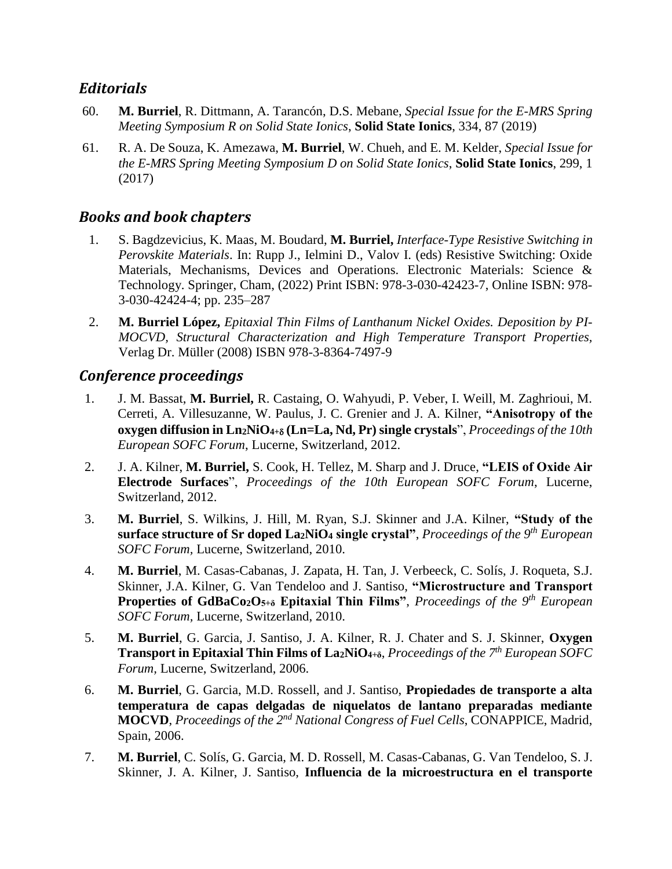## *Editorials*

- 60. **M. Burriel**, R. Dittmann, A. Tarancón, D.S. Mebane, *Special Issue for the E-MRS Spring Meeting Symposium R on Solid State Ionics*, **Solid State Ionics**, 334, 87 (2019)
- 61. R. A. De Souza, K. Amezawa, **M. Burriel**, W. Chueh, and E. M. Kelder, *Special Issue for the E-MRS Spring Meeting Symposium D on Solid State Ionics*, **Solid State Ionics**, 299, 1 (2017)

## *Books and book chapters*

- 1. S. Bagdzevicius, K. Maas, M. Boudard, **M. Burriel,** *Interface-Type Resistive Switching in Perovskite Materials*. In: Rupp J., Ielmini D., Valov I. (eds) Resistive Switching: Oxide Materials, Mechanisms, Devices and Operations. Electronic Materials: Science & Technology. Springer, Cham, (2022) Print ISBN: 978-3-030-42423-7, Online ISBN: 978- 3-030-42424-4; pp. 235–287
- 2. **M. Burriel López,** *Epitaxial Thin Films of Lanthanum Nickel Oxides. Deposition by PI-MOCVD, Structural Characterization and High Temperature Transport Properties,* Verlag Dr. Müller (2008) ISBN 978-3-8364-7497-9

### *Conference proceedings*

- 1. J. M. Bassat, **M. Burriel,** R. Castaing, O. Wahyudi, P. Veber, I. Weill, M. Zaghrioui, M. Cerreti, A. Villesuzanne, W. Paulus, J. C. Grenier and J. A. Kilner, **"Anisotropy of the oxygen diffusion in Ln2NiO4+ (Ln=La, Nd, Pr) single crystals**", *Proceedings of the 10th European SOFC Forum*, Lucerne, Switzerland, 2012.
- 2. J. A. Kilner, **M. Burriel,** S. Cook, H. Tellez, M. Sharp and J. Druce, **"LEIS of Oxide Air Electrode Surfaces**", *Proceedings of the 10th European SOFC Forum*, Lucerne, Switzerland, 2012.
- 3. **M. Burriel**, S. Wilkins, J. Hill, M. Ryan, S.J. Skinner and J.A. Kilner, **"Study of the surface structure of Sr doped La2NiO<sup>4</sup> single crystal"**, *Proceedings of the 9th European SOFC Forum,* Lucerne, Switzerland, 2010.
- 4. **M. Burriel**, M. Casas-Cabanas, J. Zapata, H. Tan, J. Verbeeck, C. Solís, J. Roqueta, S.J. Skinner, J.A. Kilner, G. Van Tendeloo and J. Santiso, **"Microstructure and Transport Properties of GdBaCo2O5+δ Epitaxial Thin Films"**, *Proceedings of the 9th European SOFC Forum,* Lucerne, Switzerland, 2010.
- 5. **M. Burriel**, G. Garcia, J. Santiso, J. A. Kilner, R. J. Chater and S. J. Skinner, **Oxygen Transport in Epitaxial Thin Films of La2NiO4+δ**, *Proceedings of the 7th European SOFC Forum,* Lucerne, Switzerland, 2006.
- 6. **M. Burriel**, G. Garcia, M.D. Rossell, and J. Santiso, **Propiedades de transporte a alta temperatura de capas delgadas de niquelatos de lantano preparadas mediante MOCVD**, *Proceedings of the 2nd National Congress of Fuel Cells*, CONAPPICE, Madrid, Spain, 2006.
- 7. **M. Burriel**, C. Solís, G. Garcia, M. D. Rossell, M. Casas-Cabanas, G. Van Tendeloo, S. J. Skinner, J. A. Kilner, J. Santiso, **Influencia de la microestructura en el transporte**